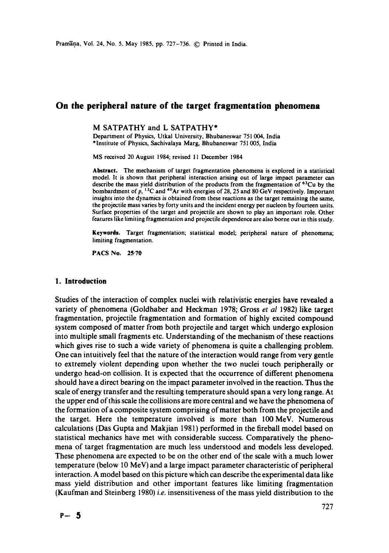# **On the peripheral nature of the target fragmentation phenomena**

# M SATPATHY and L SATPATHY\*

Department of Physics, Utkal University, Bhubaneswar 751 004, India \*Institute of Physics, Sachivalaya Marg, Bhubaneswar 75I 005, India

MS received 20 August 1984; revised 11 December 1984

**Abstract.** The mechanism of target fragmentation phenomena is explored in a statistical model. It is shown that peripheral interaction arising out of large impact parameter can describe the mass yield distribution of the products from the fragmentation of  $^{6}$ °Cu by the bombardment of  $p<sub>1</sub>$ , <sup>12</sup>C and <sup>40</sup>Ar with energies of 28, 25 and 80 GeV respectively. Important insights into the dynamics is obtained from these reactions as the target remaining the same, the projectile mass varies by forty units and the incident energy per nucleon by fourteen units. Surface properties of the target and projectile are shown to play an important role. Other features like limiting fragmentation and projectile dependence are also borne out in this study.

**Keywords.** Target fragmentation; statistical model; peripheral nature of phenomena; limiting fragmentation.

PACS No. 25-70

#### **1. Introduction**

Studies of the interaction of complex nuclei with relativistic energies have revealed a variety of phenomena (Goldhaber and Heckman 1978; Gross *et al* 1982) like target fragmentation, projectile fragmentation and formation of highly excited compound system composed of matter from both projectile and target which undergo explosion into multiple small fragments etc. Understanding of the mechanism of these reactions which gives rise to such a wide variety of phenomena is quite a challenging problem. One can intuitively feel that the nature of the interaction would range from very gentle to extremely violent depending upon whether the two nuclei touch peripherally or undergo head-on collision. It is expected that the occurrence of different phenomena should have a direct bearing on the impact parameter involved in the reaction. Thus the scale of energy transfer and the resulting temperature should span a very long range. At the upper end of this scale the collisions are more central and we have the phenomena of the formation of a composite system comprising of matter both from the projectile and the target. Here the temperature involved is more than 100MeV. Numerous calculations (Das Gupta and Makjian 1981) performed in the fireball model based on statistical mechanics have met with considerable success. Comparatively the phenomena of target fragmentation are much less understood and models less developed. These phenomena are expected to be on the other end of the scale with a much lower temperature (below 10 MeV) and a large impact parameter characteristic of peripheral interaction. A model based on this picture which can describe the experimental data like mass yield distribution and other important features like limiting fragmentation (Kaufman and Steinberg 1980) *i.e.* insensitiveness of the mass yield distribution to the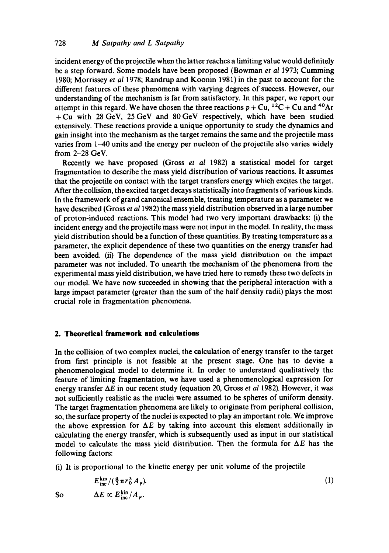incident energy of the projectile when the latter reaches a limiting value would definitely be a step forward. Some models have been proposed (Bowman *et al* 1973; Cumming 1980; Morrissey *et al* 1978; Randrup and Koonin 1981) in the past to account for the different features of these phenomena with varying degrees of success. However, our understanding of the mechanism is far from satisfactory. In this paper, we report our attempt in this regard. We have chosen the three reactions  $p + Cu$ ,  $12C + Cu$  and  $40Ar$ +Cu with 28 GeV, 25 GeV and 80 GeV respectively, which have been studied extensively. These reactions provide a unique opportunity to study the dynamics and gain insight into the mechanism as the target remains the same and the projectile mass varies from 1-40 units and the energy per nucleon of the projectile also varies widely from 2-28 GeV.

Recently we have proposed (Gross *et al* 1982) a statistical model for target fragmentation to describe the mass yield distribution of various reactions. It assumes that the projectile on contact with the target transfers energy which excites the target. After the collision, the excited target decays statistically into fragments of various kinds. In the framework of grand canonical ensemble, treating temperature as a parameter we have described (Gross *et al* 1982) the mass yield distribution observed in a large number of proton-induced reactions. This model had two very important drawbacks: (i) the incident energy and the projectile mass were not input in the model. In reality, the mass yield distribution should be a function of these quantities. By treating temperature as a parameter, the explicit dependence of these two quantities on the energy transfer had been avoided. (ii) The dependence of the mass yield distribution on the impact parameter was not included. To unearth the mechanism of the phenomena from the experimental mass yield distribution, we have tried here to remedy these two defects in our model. We have now succeeded in showing that the peripheral interaction with a large impact parameter (greater than the sum of the half density radii) plays the most crucial role in fragmentation phenomena.

# **2. Theoretical framework and calculations**

In the collision of two complex nuclei, the calculation of energy transfer to the target from first principle is not feasible at the present stage. One has to devise a phenomenological model to determine it. In order to understand qualitatively the feature of limiting fragmentation, we have used a phenomenological expression for energy transfer AE in our recent study (equation 20, Gross *et al* 1982). However, it was not sufficiently realistic as the nuclei were assumed to be spheres of uniform density. The target fragmentation phenomena are likely to originate from peripheral collision, so, the surface property of the nuclei is expected to play an important role. We improve the above expression for  $\Delta E$  by taking into account this element additionally in calculating the energy transfer, which is subsequently used as input in our statistical model to calculate the mass yield distribution. Then the formula for  $\Delta E$  has the following factors:

(i) It is proportional to the kinetic energy per unit volume of the projectile

$$
E_{\text{inc}}^{\text{kin}}/(\frac{4}{3}\pi r_0^3 A_p). \tag{1}
$$
  
So 
$$
\Delta E \propto E_{\text{inc}}^{\text{kin}}/A_p.
$$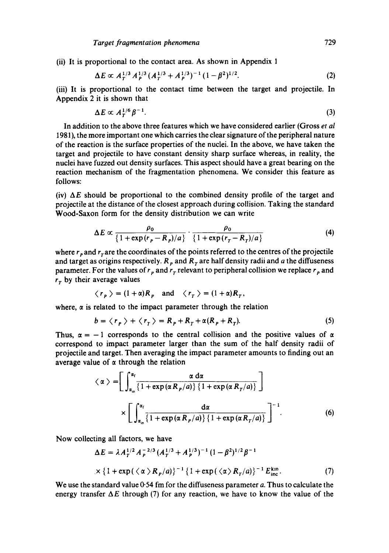(ii) It is proportional to the contact area. As shown in Appendix 1

$$
\Delta E \propto A_T^{1/3} A_P^{1/3} (A_T^{1/3} + A_P^{1/3})^{-1} (1 - \beta^2)^{1/2}.
$$
 (2)

(iii) It is proportional to the contact time between the target and projectile. In Appendix 2 it is shown that

$$
\Delta E \propto A_T^{1/6} \beta^{-1}.
$$

In addition to the above three features which we have considered earlier (Gross *et al*  1981), the more important one which carries the clear signature of the peripheral nature of the reaction is the surface properties of the nuclei. In the above, we have taken the target and projectile to have constant density sharp surface whereas, in reality, the nuclei have fuzzed out density surfaces. This aspect should have a great bearing on the reaction mechanism of the fragmentation phenomena. We consider this feature as follows:

(iv)  $\Delta E$  should be proportional to the combined density profile of the target and projectile at the distance of the closest approach during collision. Taking the standard Wood-Saxon form for the density distribution we can write

$$
\Delta E \propto \frac{\rho_0}{\left\{1 + \exp\left(r_p - R_p\right)/a\right\}} \cdot \frac{\rho_0}{\left\{1 + \exp\left(r_r - R_p\right)/a\right\}} \tag{4}
$$

where  $r_p$  and  $r_\tau$  are the coordinates of the points referred to the centres of the projectile and target as origins respectively.  $R_p$  and  $R_q$  are half density radii and a the diffuseness parameter. For the values of  $r_p$  and  $r_\tau$  relevant to peripheral collision we replace  $r_p$  and  $r<sub>r</sub>$  by their average values

$$
\langle r_p \rangle = (1 + \alpha)R_p
$$
 and  $\langle r_r \rangle = (1 + \alpha)R_r$ ,

where,  $\alpha$  is related to the impact parameter through the relation

$$
b = \langle r_p \rangle + \langle r_r \rangle = R_p + R_T + \alpha (R_p + R_T). \tag{5}
$$

Thus,  $\alpha = -1$  corresponds to the central collision and the positive values of  $\alpha$ correspond to impact parameter larger than the sum of the half density radii of projectile and target. Then averaging the impact parameter amounts to finding out an average value of  $\alpha$  through the relation

$$
\langle \alpha \rangle = \left[ \int_{\alpha_{\rm in}}^{\alpha_{\rm f}} \frac{\alpha \, \mathrm{d}\alpha}{\left\{ 1 + \exp\left(\alpha \, R_{\rm p}/a\right) \right\} \left\{ 1 + \exp\left(\alpha \, R_{\rm p}/a\right) \right\}} \right]
$$

$$
\times \left[ \int_{\alpha_{\rm in}}^{\alpha_{\rm f}} \frac{\mathrm{d}\alpha}{\left\{ 1 + \exp\left(\alpha \, R_{\rm p}/a\right) \right\} \left\{ 1 + \exp\left(\alpha \, R_{\rm p}/a\right) \right\}} \right]^{-1} . \tag{6}
$$

Now collecting all factors, we have

$$
\Delta E = \lambda A_T^{1/2} A_P^{-2/3} (A_T^{1/3} + A_P^{1/3})^{-1} (1 - \beta^2)^{1/2} \beta^{-1}
$$
  
 
$$
\times \{1 + \exp(\langle \alpha \rangle R_P/a) \}^{-1} \{1 + \exp(\langle \alpha \rangle R_T/a) \}^{-1} E_{\text{inc}}^{\text{kin}}.
$$
 (7)

We use the standard value  $0.54$  fm for the diffuseness parameter  $a$ . Thus to calculate the energy transfer  $\Delta E$  through (7) for any reaction, we have to know the value of the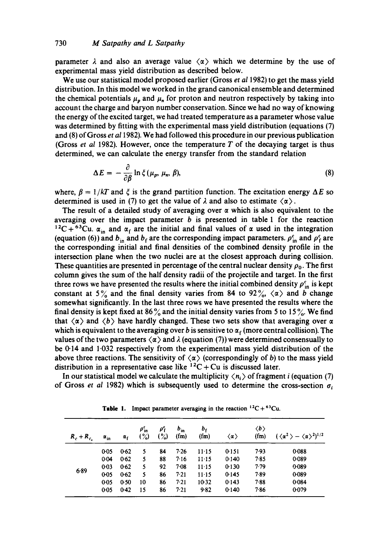parameter  $\lambda$  and also an average value  $\langle \alpha \rangle$  which we determine by the use of experimental mass yield distribution as described below.

We use our statistical model proposed earlier (Gross *et a11982)* to get the mass yield distribution. In this model we worked in the grand canonical ensemble and determined the chemical potentials  $\mu_n$  and  $\mu_n$  for proton and neutron respectively by taking into account the charge and baryon number conservation. Since we had no way of knowing the energy of the excited target, we had treated temperature as a parameter whose value was determined by fitting with the experimental mass yield distribution (equations (7) and (8) of Gross *et al* 1982). We had followed this procedure in our previous publication (Gross *et al* 1982). However, once the temperature  $T$  of the decaying target is thus determined, we can calculate the energy transfer from the standard relation

$$
\Delta E = -\frac{\partial}{\partial \beta} \ln \xi (\mu_p, \mu_n, \beta), \tag{8}
$$

where,  $\beta = 1/kT$  and  $\xi$  is the grand partition function. The excitation energy  $\Delta E$  so determined is used in (7) to get the value of  $\lambda$  and also to estimate  $\langle \alpha \rangle$ .

The result of a detailed study of averaging over  $\alpha$  which is also equivalent to the averaging over the impact parameter b is presented in table 1 for the reaction <sup>12</sup>C + <sup>63</sup>Cu.  $\alpha_{in}$  and  $\alpha_f$  are the initial and final values of  $\alpha$  used in the integration (equation (6)) and  $b_{in}$  and  $b_f$  are the corresponding impact parameters.  $\rho_{in}^c$  and  $\rho_f^c$  are the corresponding initial and final densities of the combined density profile in the intersection plane when the two nuclei are at the closest approach during collision. These quantities are presented in percentage of the central nuclear density  $\rho_0$ . The first column gives the sum of the half density radii of the projectile and target. In the first three rows we have presented the results where the initial combined density  $\rho_{in}^c$  is kept constant at 5% and the final density varies from 84 to 92%,  $\langle \alpha \rangle$  and b change somewhat significantly. In the last three rows we have presented the results where the final density is kept fixed at 86% and the initial density varies from 5 to 15%. We find that  $\langle \alpha \rangle$  and  $\langle b \rangle$  have hardly changed. These two sets show that averaging over  $\alpha$ which is equivalent to the averaging over b is sensitive to  $\alpha_f$  (more central collision). The values of the two parameters  $\langle \alpha \rangle$  and  $\lambda$  (equation (7)) were determined consensually to be 0.14 and 1.032 respectively from the experimental mass yield distribution of the above three reactions. The sensitivity of  $\langle \alpha \rangle$  (correspondingly of b) to the mass yield distribution in a representative case like  ${}^{12}C + Cu$  is discussed later.

In our statistical model we calculate the multiplicity  $\langle n_i \rangle$  of fragment *i* (equation (7) of Gross *et al 1982*) which is subsequently used to determine the cross-section  $\sigma_i$ 

| $R_c + R_c$ | $\alpha_{in}$ | $\alpha_{\rm f}$ | $\rho_{\rm in}$<br>$\binom{9}{2}$ | ρŕ<br>$\binom{9}{2}$ | $b_{in}$<br>$(f_m)$ | b,<br>$(f_m)$ | $\langle \alpha \rangle$ | $\langle b \rangle$<br>(fm) | $(\langle \alpha^2 \rangle - \langle \alpha \rangle^2)^{1/2}$ |
|-------------|---------------|------------------|-----------------------------------|----------------------|---------------------|---------------|--------------------------|-----------------------------|---------------------------------------------------------------|
| 6.89        | 0.05          | 0.62             | 5                                 | 84                   | 7.26                | $11 - 15$     | 0.151                    | 7.93                        | 0.088                                                         |
|             | 0.04          | 0.62             | 5                                 | 88                   | 7.16                | $11-15$       | 0.140                    | 7.85                        | 0.089                                                         |
|             | $0 - 03$      | 0.62             | 5                                 | 92                   | $7-08$              | $11 - 15$     | 0.130                    | 7.79                        | 0.089                                                         |
|             | $0-05$        | 0.62             | 5                                 | 86                   | 7.21                | $11 - 15$     | 0.145                    | 7.89                        | 0.089                                                         |
|             | $0 - 05$      | 0.50             | 10                                | 86                   | 7.21                | $10-32$       | 0.143                    | 7.88                        | 0.084                                                         |
|             | 0.05          | $0-42$           | 15                                | 86                   | 7.21                | 9.82          | 0.140                    | 7.86                        | 0.079                                                         |

**Table 1.** Impact parameter averaging in the reaction  ${}^{12}C + {}^{63}Cu$ .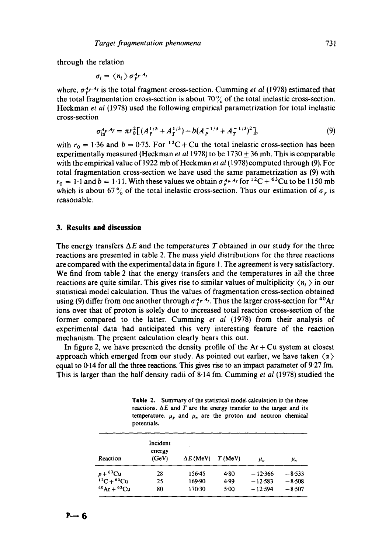through the relation

$$
\sigma_i = \langle n_i \rangle \sigma_{\rm F}^{A_P, A_i}
$$

where,  $\sigma_1^{\mu}$ <sup>p,  $4\tau$ </sup> is the total fragment cross-section. Cumming *et al* (1978) estimated that the total fragmentation cross-section is about 70% of the total inelastic cross-section. Heckman *et al* (1978) used the following empirical parametrization for total inelastic cross-section

$$
\sigma_{\text{in}}^{A_P A_T} = \pi r_0^2 \left[ (A_P^{1/3} + A_T^{1/3}) - b(A_P^{-1/3} + A_T^{-1/3})^2 \right],\tag{9}
$$

with  $r_0 = 1.36$  and  $b = 0.75$ . For <sup>12</sup>C + Cu the total inelastic cross-section has been experimentally measured (Heckman *et al* 1978) to be  $1730 \pm 36$  mb. This is comparable with the empirical value of 1922 mb of Heckman *et al* (1978) computed through (9). For total fragmentation cross-section we have used the same parametrization as (9) with  $r_0 = 1$ <sup>-1</sup> and  $b = 1$ <sup>-1</sup>. With these values we obtain  $\sigma_f^{A_P, A_T}$  for  $^{12}C + ^{63}Cu$  to be 1150 mb which is about 67% of the total inelastic cross-section. Thus our estimation of  $\sigma_r$  is reasonable.

#### **3. Results and discussion**

The energy transfers  $\Delta E$  and the temperatures T obtained in our study for the three reactions are presented in table 2. The mass yield distributions for the three reactions are compared with the experimental data in figure 1. The agreement is very satisfactory. We find from table 2 that the energy transfers and the temperatures in all the three reactions are quite similar. This gives rise to similar values of multiplicity  $\langle n_i \rangle$  in our statistical model calculation. Thus the values of fragmentation cross-section obtained using (9) differ from one another through  $\sigma_f^A$ . Thus the larger cross-section for <sup>40</sup>Ar ions over that of proton is solely due to increased total reaction cross-section of the former compared to the latter. Cumming *et al* (1978) from their analysis of experimental data had anticipated this very interesting feature of the reaction mechanism. The present calculation clearly bears this out.

In figure 2, we have presented the density profile of the  $Ar + Cu$  system at closest approach which emerged from our study. As pointed out earlier, we have taken  $\langle \alpha \rangle$ equal to  $0.14$  for all the three reactions. This gives rise to an impact parameter of  $9.27$  fm. This is larger than the half density radii of 8.14 fro. Cumming *et al* (1978) studied the

**Table** 2. Summary of the statistical model calculation in the three reactions.  $\Delta E$  and  $T$  are the energy transfer to the target and its temperature.  $\mu_p$  and  $\mu_n$  are the proton and neutron chemical potentials.

| Reaction              | Incident<br>energy<br>(GeV) | $\Delta E$ (MeV) | T(MeV) | μ,        | μ,       |
|-----------------------|-----------------------------|------------------|--------|-----------|----------|
| $p+$ <sup>63</sup> Cu | 28                          | 156.45           | 4.80   | $-12.366$ | $-8.533$ |
| $^{12}C + ^{63}Cu$    | 25                          | 169.90           | 4.99   | $-12583$  | $-8.508$ |
| $^{40}Ar + ^{63}Cu$   | 80                          | 170.30           | 5.00   | $-12.594$ | $-8.507$ |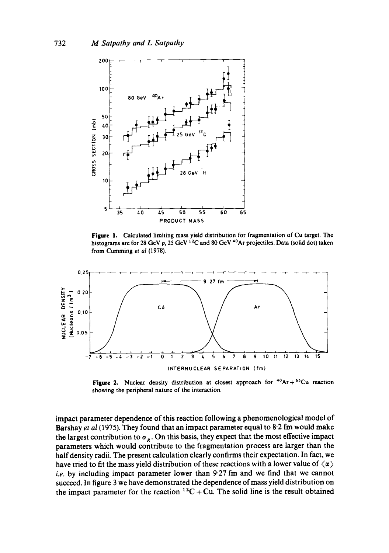

**Figure** !. Calculated limiting mass yield distribution for fragmentation of Cu **target.** The histograms are for 28 GeV p, 25 GeV <sup>12</sup>C and 80 GeV <sup>40</sup>Ar projectiles. Data (solid dot) taken from Cumming *et al* (1978).



**Figure 2.** Nuclear density distribution at closest approach for  ${}^{40}Ar + {}^{63}Cu$  reaction **showing the peripheral nature of the interaction.** 

impact parameter dependence of this reaction following a phenomenological model of Barshay *et al* (1975). They found that an impact parameter equal to 8.2 fm would make the largest contribution to  $\sigma_R$ . On this basis, they expect that the most effective impact parameters which would contribute to the fragmentation process are larger than the half density radii. The present calculation clearly confirms their expectation. In fact, we have tried to fit the mass yield distribution of these reactions with a lower value of  $\langle \alpha \rangle$ *i.e.* by including impact parameter lower than 9.27 fm and we find that we cannot succeed. In figure 3 we have demonstrated the dependence of mass yield distribution on the impact parameter for the reaction  ${}^{12}C + Cu$ . The solid line is the result obtained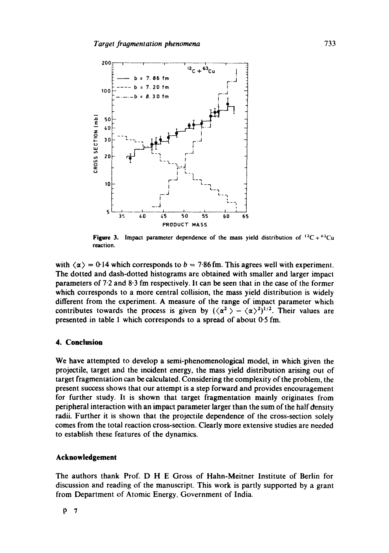

**Figure 3.** Impact parameter dependence of the mass yield distribution of  $^{12}C + ^{63}Cu$ reaction.

with  $\langle \alpha \rangle = 0.14$  which corresponds to  $b = 7.86$  fm. This agrees well with experiment. The dotted and dash-dotted histograms are obtained with smaller and larger impact parameters of 7.2 and 8"3 fm respectively. It can be seen that in the case of the former which corresponds to a more central collision, the mass yield distribution is widely different from the experiment. A measure of the range of impact parameter which contributes towards the process is given by  $({\langle \alpha^2 \rangle - {\langle \alpha \rangle}^2})^{1/2}$ . Their values are presented in table 1 which corresponds to a spread of about 0.5 fm.

### **4. Conclusion**

We have attempted to develop a semi-phenomenological model, in which given the projectile, target and the incident energy, the mass yield distribution arising out of target fragmentation can be calculated. Considering the complexity of the problem, the present success shows that our attempt is a step forward and provides encouragement for further study. It is shown that target fragmentation mainly originates from peripheral interaction with an impact parameter larger than the sum of the half density radii. Further it is shown that the projectile dependence of the cross-section solely comes from the total reaction cross-section. Clearly more extensive studies are needed to establish these features of the dynamics.

#### **Acknowledgement**

The authors thank Prof. D H E Gross of Hahn-Meitner Institute of Berlin for discussion and reading of the manuscript. This work is partly supported by a grant from Department of Atomic Energy, Government of India.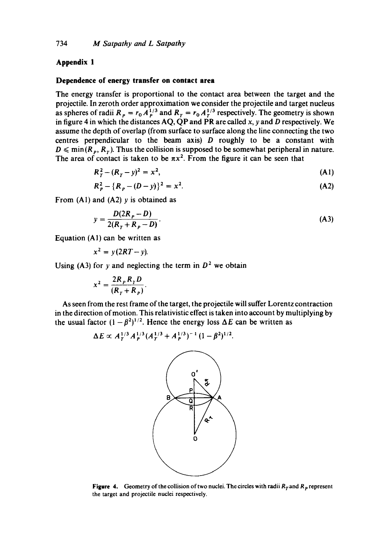## **Appendix 1**

### **Dependence of energy transfer on contact area**

The energy transfer is proportional to the contact area between the target and the projectile. In zeroth order approximation we consider the projectile and target nucleus as spheres of radii R<sub>P</sub> =  $r_0 A_{P}^{1/3}$  and R<sub>T</sub> =  $r_0 A_{T}^{1/3}$  respectively. The geometry is shown in figure 4 in which the distances  $AQ$ ,  $QP$  and  $PR$  are called x, y and D respectively. We assume the depth of overlap (from surface to surface along the line connecting the two centres perpendicular to the beam axis)  $D$  roughly to be a constant with  $D \leq \min(R_P, R_T)$ . Thus the collision is supposed to be somewhat peripheral in nature. The area of contact is taken to be  $\pi x^2$ . From the figure it can be seen that

$$
R_T^2 - (R_T - y)^2 = x^2,
$$
 (A1)

$$
R_p^2 - \{R_p - (D - y)\}^2 = x^2. \tag{A2}
$$

From  $(A1)$  and  $(A2)$  y is obtained as

$$
y = \frac{D(2R_P - D)}{2(R_T + R_P - D)}.
$$
 (A3)

Equation (AI) can be written as

$$
x^2 = y(2RT - y).
$$

Using (A3) for y and neglecting the term in  $D^2$  we obtain

$$
x^2 = \frac{2R_p R_{\tau} D}{(R_{\tau} + R_p)}.
$$

As seen from the rest frame of the target, the projectile will suffer Lorentz contraction in the direction of motion. This relativistic effect is taken into account by multiplying by the usual factor  $(1 - \beta^2)^{1/2}$ . Hence the energy loss  $\Delta E$  can be written as

$$
\Delta E \propto A_T^{1/3} A_P^{1/3} (A_T^{1/3} + A_P^{1/3})^{-1} (1 - \beta^2)^{1/2}.
$$



Figure 4. Geometry of the collision of two nuclei. The circles with radii  $R<sub>T</sub>$  and  $R<sub>p</sub>$  represent the target and projectile nuclei respectively.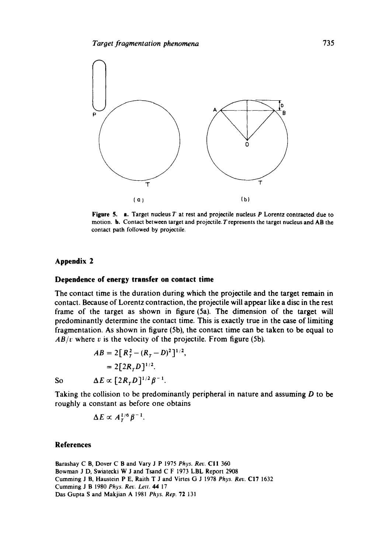

Figure 5. a. Target nucleus T at rest and projectile nucleus P Lorentz contracted due to motion, b. Contact between target and projectile. Trepresents the target nucleus and AB **the**  contact path followed by projectile.

#### **Appendix 2**

# **Dependence of energy transfer on contact time**

The contact time is the duration during which the projectile and the target remain in contact. Because of Lorentz contraction, the projectile will appear like a disc in the rest frame of the target as shown in figure (5a). The dimension of the target will predominantly determine the contact time. This is exactly true in the case of limiting fragmentation. As shown in figure (5b), the contact time can be taken to be equal to  $AB/v$  where v is the velocity of the projectile. From figure (5b).

$$
AB = 2[R_T^2 - (R_T - D)^2]^{1/2},
$$
  
= 2[2R\_TD]^{1/2}.  
So 
$$
\Delta E \propto [2R_T D]^{1/2} \beta^{-1}.
$$

Taking the collision to be predominantly peripheral in nature and assuming  $D$  to be roughly a constant as before one obtains

$$
\Delta E \propto A_T^{1/6} \beta^{-1}.
$$

# **References**

Barashay C B, Dover C B and Vary J P 1975 *Phys. Rev.* CII 360 Bowman J D, Swiatecki W J and Tsand C F 1973 LBL Report 2908 Cumming J B, Haustein P E, Raith T J and Virtes (3 J 1978 *Phys. Rev.* C17 1632 Cumming J B 1980 *Phys. Rev. Lett. 44* 17 Das Gupta S and Makjian A 1981 *Phys. Rep.* 72 131